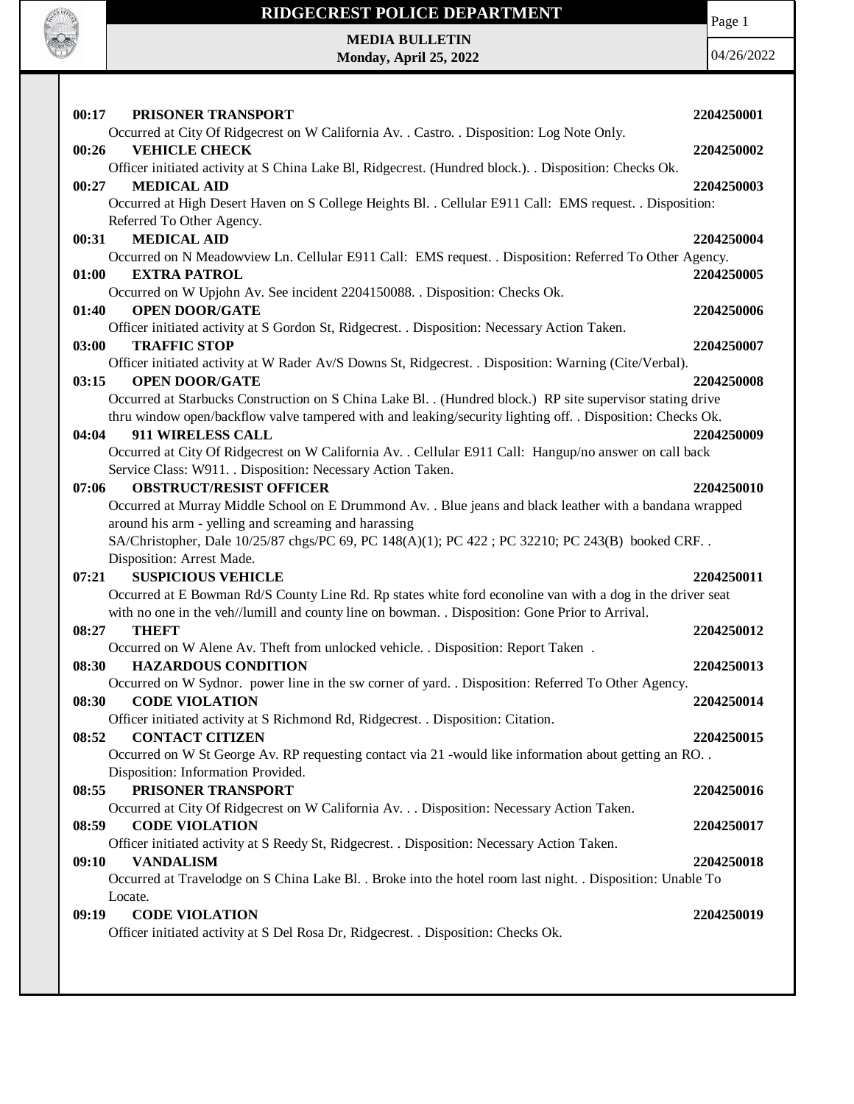

Page 1

**MEDIA BULLETIN Monday, April 25, 2022**

04/26/2022

| 00:17 | PRISONER TRANSPORT                                                                                                                                                                                            | 2204250001 |
|-------|---------------------------------------------------------------------------------------------------------------------------------------------------------------------------------------------------------------|------------|
|       | Occurred at City Of Ridgecrest on W California Av. . Castro. . Disposition: Log Note Only.                                                                                                                    |            |
| 00:26 | <b>VEHICLE CHECK</b>                                                                                                                                                                                          | 2204250002 |
|       | Officer initiated activity at S China Lake Bl, Ridgecrest. (Hundred block.). . Disposition: Checks Ok.                                                                                                        |            |
| 00:27 | <b>MEDICAL AID</b>                                                                                                                                                                                            | 2204250003 |
|       | Occurred at High Desert Haven on S College Heights Bl. . Cellular E911 Call: EMS request. . Disposition:                                                                                                      |            |
|       | Referred To Other Agency.                                                                                                                                                                                     |            |
| 00:31 | <b>MEDICAL AID</b>                                                                                                                                                                                            | 2204250004 |
|       | Occurred on N Meadowview Ln. Cellular E911 Call: EMS request. . Disposition: Referred To Other Agency.                                                                                                        |            |
| 01:00 | <b>EXTRA PATROL</b>                                                                                                                                                                                           | 2204250005 |
|       | Occurred on W Upjohn Av. See incident 2204150088. . Disposition: Checks Ok.                                                                                                                                   |            |
| 01:40 | <b>OPEN DOOR/GATE</b>                                                                                                                                                                                         | 2204250006 |
|       | Officer initiated activity at S Gordon St, Ridgecrest. . Disposition: Necessary Action Taken.                                                                                                                 |            |
| 03:00 | <b>TRAFFIC STOP</b>                                                                                                                                                                                           | 2204250007 |
|       | Officer initiated activity at W Rader Av/S Downs St, Ridgecrest. . Disposition: Warning (Cite/Verbal).                                                                                                        |            |
| 03:15 | <b>OPEN DOOR/GATE</b>                                                                                                                                                                                         | 2204250008 |
|       | Occurred at Starbucks Construction on S China Lake Bl. . (Hundred block.) RP site supervisor stating drive                                                                                                    |            |
|       | thru window open/backflow valve tampered with and leaking/security lighting off. . Disposition: Checks Ok.                                                                                                    |            |
| 04:04 | 911 WIRELESS CALL                                                                                                                                                                                             | 2204250009 |
|       | Occurred at City Of Ridgecrest on W California Av. . Cellular E911 Call: Hangup/no answer on call back                                                                                                        |            |
|       | Service Class: W911. . Disposition: Necessary Action Taken.                                                                                                                                                   |            |
| 07:06 | <b>OBSTRUCT/RESIST OFFICER</b>                                                                                                                                                                                | 2204250010 |
|       | Occurred at Murray Middle School on E Drummond Av. . Blue jeans and black leather with a bandana wrapped                                                                                                      |            |
|       | around his arm - yelling and screaming and harassing                                                                                                                                                          |            |
|       | SA/Christopher, Dale 10/25/87 chgs/PC 69, PC 148(A)(1); PC 422; PC 32210; PC 243(B) booked CRF                                                                                                                |            |
|       | Disposition: Arrest Made.                                                                                                                                                                                     |            |
| 07:21 | <b>SUSPICIOUS VEHICLE</b>                                                                                                                                                                                     | 2204250011 |
|       | Occurred at E Bowman Rd/S County Line Rd. Rp states white ford econoline van with a dog in the driver seat<br>with no one in the veh//lumill and county line on bowman. . Disposition: Gone Prior to Arrival. |            |
| 08:27 | <b>THEFT</b>                                                                                                                                                                                                  | 2204250012 |
|       | Occurred on W Alene Av. Theft from unlocked vehicle. . Disposition: Report Taken.                                                                                                                             |            |
| 08:30 | <b>HAZARDOUS CONDITION</b>                                                                                                                                                                                    | 2204250013 |
|       | Occurred on W Sydnor. power line in the sw corner of yard. . Disposition: Referred To Other Agency.                                                                                                           |            |
| 08:30 | <b>CODE VIOLATION</b>                                                                                                                                                                                         | 2204250014 |
|       | Officer initiated activity at S Richmond Rd, Ridgecrest. . Disposition: Citation.                                                                                                                             |            |
| 08:52 | <b>CONTACT CITIZEN</b>                                                                                                                                                                                        | 2204250015 |
|       | Occurred on W St George Av. RP requesting contact via 21 -would like information about getting an RO                                                                                                          |            |
|       | Disposition: Information Provided.                                                                                                                                                                            |            |
| 08:55 | PRISONER TRANSPORT                                                                                                                                                                                            | 2204250016 |
|       |                                                                                                                                                                                                               |            |
|       |                                                                                                                                                                                                               |            |
| 08:59 | Occurred at City Of Ridgecrest on W California Av. Disposition: Necessary Action Taken.<br><b>CODE VIOLATION</b>                                                                                              |            |
|       | Officer initiated activity at S Reedy St, Ridgecrest. . Disposition: Necessary Action Taken.                                                                                                                  | 2204250017 |
| 09:10 | <b>VANDALISM</b>                                                                                                                                                                                              | 2204250018 |
|       | Occurred at Travelodge on S China Lake Bl. . Broke into the hotel room last night. . Disposition: Unable To                                                                                                   |            |
|       | Locate.                                                                                                                                                                                                       |            |
| 09:19 | <b>CODE VIOLATION</b>                                                                                                                                                                                         | 2204250019 |
|       | Officer initiated activity at S Del Rosa Dr, Ridgecrest. . Disposition: Checks Ok.                                                                                                                            |            |
|       |                                                                                                                                                                                                               |            |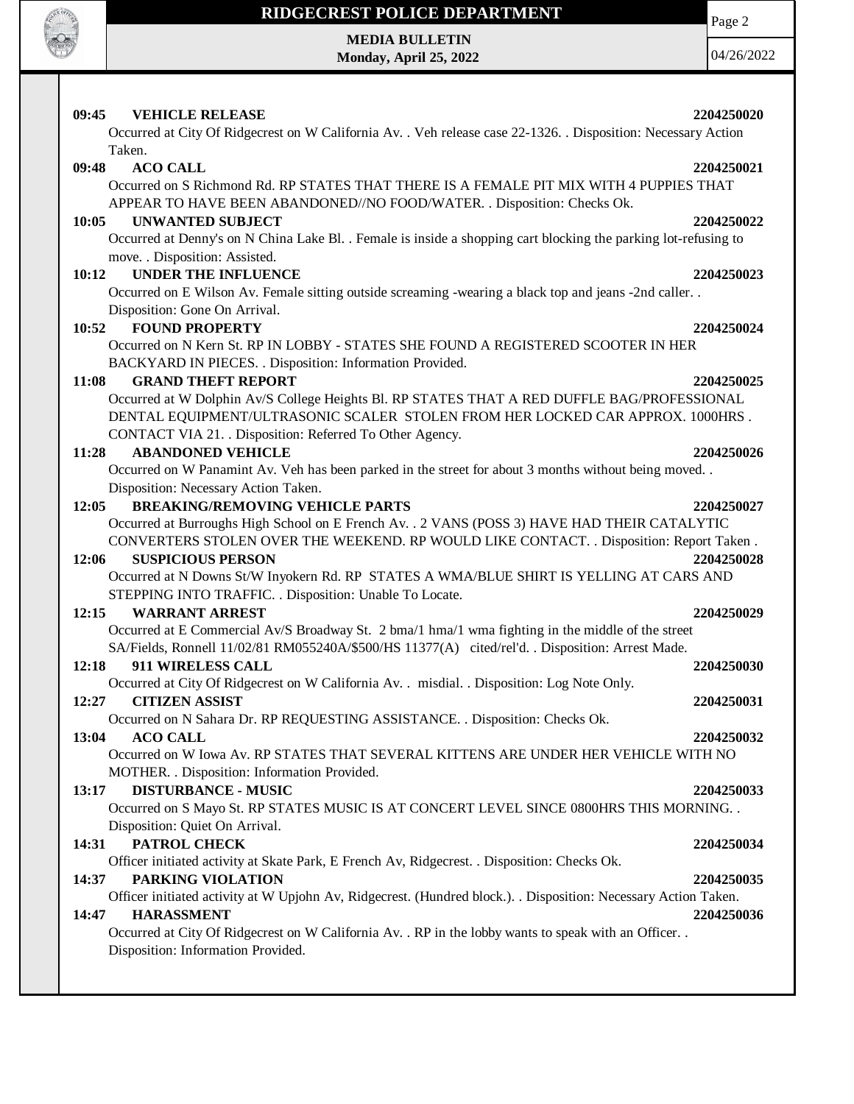

**MEDIA BULLETIN Monday, April 25, 2022** Page 2

04/26/2022

| 09:45 | <b>VEHICLE RELEASE</b>                                                                                          | 2204250020 |
|-------|-----------------------------------------------------------------------------------------------------------------|------------|
|       | Occurred at City Of Ridgecrest on W California Av. . Veh release case 22-1326. . Disposition: Necessary Action  |            |
|       | Taken.                                                                                                          |            |
| 09:48 | <b>ACO CALL</b>                                                                                                 | 2204250021 |
|       | Occurred on S Richmond Rd. RP STATES THAT THERE IS A FEMALE PIT MIX WITH 4 PUPPIES THAT                         |            |
|       | APPEAR TO HAVE BEEN ABANDONED//NO FOOD/WATER. . Disposition: Checks Ok.                                         |            |
| 10:05 | <b>UNWANTED SUBJECT</b>                                                                                         | 2204250022 |
|       | Occurred at Denny's on N China Lake Bl. . Female is inside a shopping cart blocking the parking lot-refusing to |            |
|       | move. . Disposition: Assisted.                                                                                  |            |
| 10:12 | <b>UNDER THE INFLUENCE</b>                                                                                      | 2204250023 |
|       | Occurred on E Wilson Av. Female sitting outside screaming -wearing a black top and jeans -2nd caller            |            |
|       | Disposition: Gone On Arrival.                                                                                   |            |
| 10:52 | <b>FOUND PROPERTY</b>                                                                                           | 2204250024 |
|       | Occurred on N Kern St. RP IN LOBBY - STATES SHE FOUND A REGISTERED SCOOTER IN HER                               |            |
|       | BACKYARD IN PIECES. . Disposition: Information Provided.                                                        |            |
| 11:08 | <b>GRAND THEFT REPORT</b>                                                                                       | 2204250025 |
|       | Occurred at W Dolphin Av/S College Heights Bl. RP STATES THAT A RED DUFFLE BAG/PROFESSIONAL                     |            |
|       | DENTAL EQUIPMENT/ULTRASONIC SCALER STOLEN FROM HER LOCKED CAR APPROX. 1000HRS.                                  |            |
|       | CONTACT VIA 21. Disposition: Referred To Other Agency.                                                          |            |
| 11:28 | <b>ABANDONED VEHICLE</b>                                                                                        | 2204250026 |
|       | Occurred on W Panamint Av. Veh has been parked in the street for about 3 months without being moved             |            |
|       | Disposition: Necessary Action Taken.<br><b>BREAKING/REMOVING VEHICLE PARTS</b>                                  |            |
| 12:05 | Occurred at Burroughs High School on E French Av. . 2 VANS (POSS 3) HAVE HAD THEIR CATALYTIC                    | 2204250027 |
|       | CONVERTERS STOLEN OVER THE WEEKEND. RP WOULD LIKE CONTACT. . Disposition: Report Taken.                         |            |
| 12:06 | <b>SUSPICIOUS PERSON</b>                                                                                        | 2204250028 |
|       | Occurred at N Downs St/W Inyokern Rd. RP STATES A WMA/BLUE SHIRT IS YELLING AT CARS AND                         |            |
|       | STEPPING INTO TRAFFIC. . Disposition: Unable To Locate.                                                         |            |
| 12:15 | <b>WARRANT ARREST</b>                                                                                           | 2204250029 |
|       | Occurred at E Commercial Av/S Broadway St. 2 bma/1 hma/1 wma fighting in the middle of the street               |            |
|       | SA/Fields, Ronnell 11/02/81 RM055240A/\$500/HS 11377(A) cited/rel'd. . Disposition: Arrest Made.                |            |
| 12:18 | 911 WIRELESS CALL                                                                                               | 2204250030 |
|       | Occurred at City Of Ridgecrest on W California Av. . misdial. . Disposition: Log Note Only.                     |            |
| 12:27 | <b>CITIZEN ASSIST</b>                                                                                           | 2204250031 |
|       | Occurred on N Sahara Dr. RP REQUESTING ASSISTANCE. . Disposition: Checks Ok.                                    |            |
| 13:04 | <b>ACO CALL</b>                                                                                                 | 2204250032 |
|       | Occurred on W Iowa Av. RP STATES THAT SEVERAL KITTENS ARE UNDER HER VEHICLE WITH NO                             |            |
|       | MOTHER. . Disposition: Information Provided.                                                                    |            |
| 13:17 | <b>DISTURBANCE - MUSIC</b>                                                                                      | 2204250033 |
|       | Occurred on S Mayo St. RP STATES MUSIC IS AT CONCERT LEVEL SINCE 0800HRS THIS MORNING. .                        |            |
|       | Disposition: Quiet On Arrival.                                                                                  |            |
| 14:31 | PATROL CHECK                                                                                                    | 2204250034 |
|       | Officer initiated activity at Skate Park, E French Av, Ridgecrest. . Disposition: Checks Ok.                    |            |
| 14:37 | PARKING VIOLATION                                                                                               | 2204250035 |
|       | Officer initiated activity at W Upjohn Av, Ridgecrest. (Hundred block.). . Disposition: Necessary Action Taken. |            |
| 14:47 | <b>HARASSMENT</b>                                                                                               | 2204250036 |
|       | Occurred at City Of Ridgecrest on W California Av. . RP in the lobby wants to speak with an Officer. .          |            |
|       | Disposition: Information Provided.                                                                              |            |
|       |                                                                                                                 |            |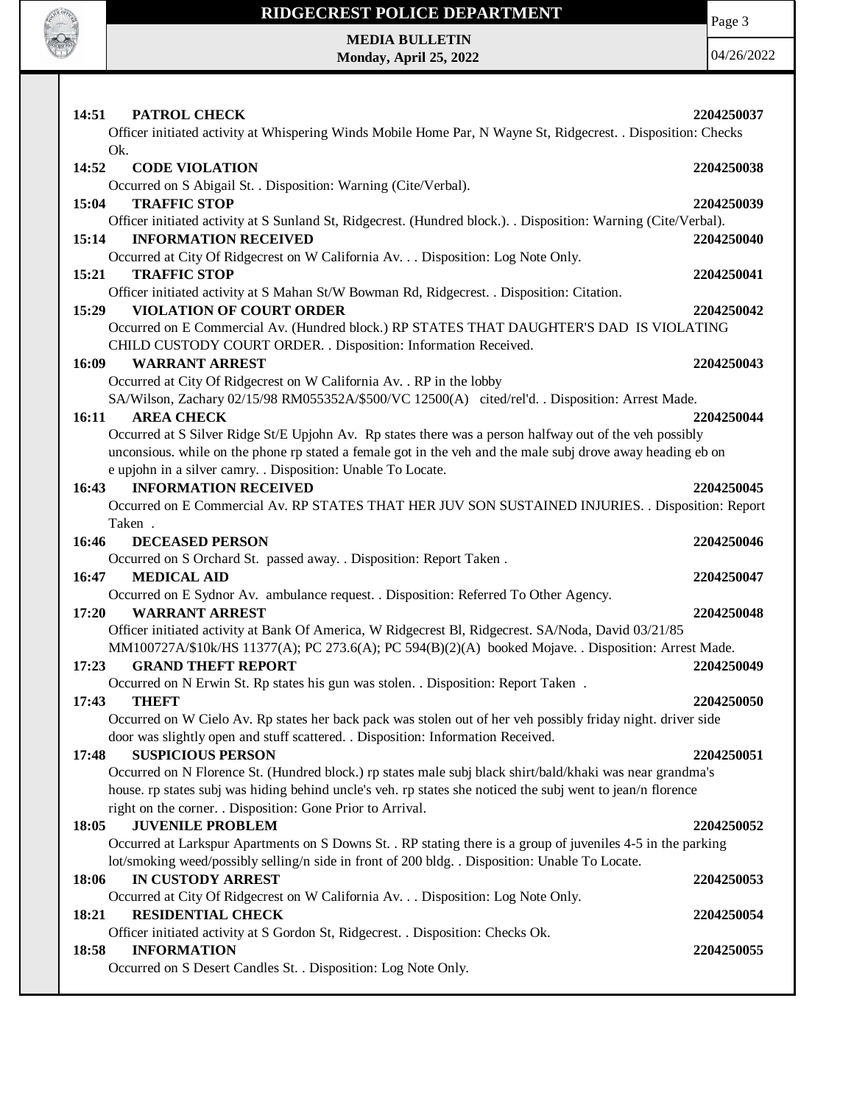

Page 3

**MEDIA BULLETIN Monday, April 25, 2022**

04/26/2022

| 14:51 | PATROL CHECK                                                                                                                                                | 2204250037 |
|-------|-------------------------------------------------------------------------------------------------------------------------------------------------------------|------------|
|       | Officer initiated activity at Whispering Winds Mobile Home Par, N Wayne St, Ridgecrest. . Disposition: Checks                                               |            |
|       | Ok.                                                                                                                                                         |            |
| 14:52 | <b>CODE VIOLATION</b>                                                                                                                                       | 2204250038 |
|       | Occurred on S Abigail St. . Disposition: Warning (Cite/Verbal).                                                                                             |            |
| 15:04 | <b>TRAFFIC STOP</b>                                                                                                                                         | 2204250039 |
|       | Officer initiated activity at S Sunland St, Ridgecrest. (Hundred block.). . Disposition: Warning (Cite/Verbal).                                             |            |
| 15:14 | <b>INFORMATION RECEIVED</b>                                                                                                                                 | 2204250040 |
|       | Occurred at City Of Ridgecrest on W California Av. Disposition: Log Note Only.                                                                              |            |
| 15:21 | <b>TRAFFIC STOP</b>                                                                                                                                         | 2204250041 |
|       | Officer initiated activity at S Mahan St/W Bowman Rd, Ridgecrest. . Disposition: Citation.                                                                  |            |
| 15:29 | <b>VIOLATION OF COURT ORDER</b>                                                                                                                             | 2204250042 |
|       | Occurred on E Commercial Av. (Hundred block.) RP STATES THAT DAUGHTER'S DAD IS VIOLATING<br>CHILD CUSTODY COURT ORDER. . Disposition: Information Received. |            |
| 16:09 | <b>WARRANT ARREST</b>                                                                                                                                       | 2204250043 |
|       | Occurred at City Of Ridgecrest on W California Av. . RP in the lobby                                                                                        |            |
|       | SA/Wilson, Zachary 02/15/98 RM055352A/\$500/VC 12500(A) cited/rel'd. . Disposition: Arrest Made.                                                            |            |
| 16:11 | <b>AREA CHECK</b>                                                                                                                                           | 2204250044 |
|       | Occurred at S Silver Ridge St/E Upjohn Av. Rp states there was a person halfway out of the veh possibly                                                     |            |
|       | unconsious. while on the phone rp stated a female got in the veh and the male subj drove away heading eb on                                                 |            |
|       | e upjohn in a silver camry. . Disposition: Unable To Locate.                                                                                                |            |
| 16:43 | <b>INFORMATION RECEIVED</b>                                                                                                                                 | 2204250045 |
|       | Occurred on E Commercial Av. RP STATES THAT HER JUV SON SUSTAINED INJURIES. . Disposition: Report                                                           |            |
|       | Taken.                                                                                                                                                      |            |
| 16:46 | <b>DECEASED PERSON</b>                                                                                                                                      | 2204250046 |
|       | Occurred on S Orchard St. passed away. . Disposition: Report Taken.                                                                                         |            |
| 16:47 | <b>MEDICAL AID</b>                                                                                                                                          | 2204250047 |
|       | Occurred on E Sydnor Av. ambulance request. . Disposition: Referred To Other Agency.                                                                        |            |
| 17:20 | <b>WARRANT ARREST</b>                                                                                                                                       | 2204250048 |
|       | Officer initiated activity at Bank Of America, W Ridgecrest Bl, Ridgecrest. SA/Noda, David 03/21/85                                                         |            |
|       | MM100727A/\$10k/HS 11377(A); PC 273.6(A); PC 594(B)(2)(A) booked Mojave. . Disposition: Arrest Made.                                                        |            |
| 17:23 | <b>GRAND THEFT REPORT</b>                                                                                                                                   | 2204250049 |
|       | Occurred on N Erwin St. Rp states his gun was stolen. . Disposition: Report Taken.                                                                          |            |
| 17:43 | THEFT<br>Occurred on W Cielo Av. Rp states her back pack was stolen out of her veh possibly friday night. driver side                                       | 2204250050 |
|       | door was slightly open and stuff scattered. . Disposition: Information Received.                                                                            |            |
| 17:48 | <b>SUSPICIOUS PERSON</b>                                                                                                                                    | 2204250051 |
|       | Occurred on N Florence St. (Hundred block.) rp states male subj black shirt/bald/khaki was near grandma's                                                   |            |
|       | house. rp states subj was hiding behind uncle's veh. rp states she noticed the subj went to jean/n florence                                                 |            |
|       | right on the corner. . Disposition: Gone Prior to Arrival.                                                                                                  |            |
| 18:05 | <b>JUVENILE PROBLEM</b>                                                                                                                                     | 2204250052 |
|       | Occurred at Larkspur Apartments on S Downs St. . RP stating there is a group of juveniles 4-5 in the parking                                                |            |
|       | lot/smoking weed/possibly selling/n side in front of 200 bldg. . Disposition: Unable To Locate.                                                             |            |
| 18:06 | IN CUSTODY ARREST                                                                                                                                           | 2204250053 |
|       | Occurred at City Of Ridgecrest on W California Av. Disposition: Log Note Only.                                                                              |            |
| 18:21 | <b>RESIDENTIAL CHECK</b>                                                                                                                                    | 2204250054 |
|       | Officer initiated activity at S Gordon St, Ridgecrest. . Disposition: Checks Ok.                                                                            |            |
| 18:58 | <b>INFORMATION</b>                                                                                                                                          | 2204250055 |
|       | Occurred on S Desert Candles St. . Disposition: Log Note Only.                                                                                              |            |
|       |                                                                                                                                                             |            |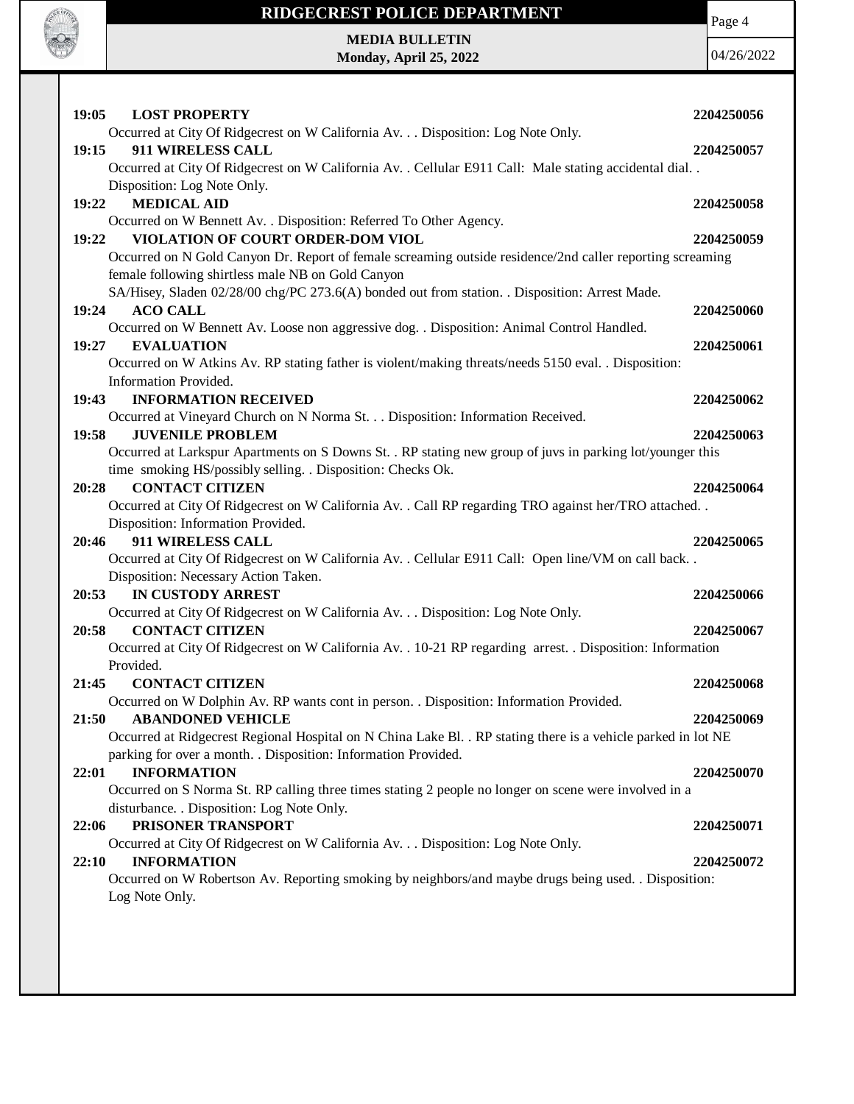